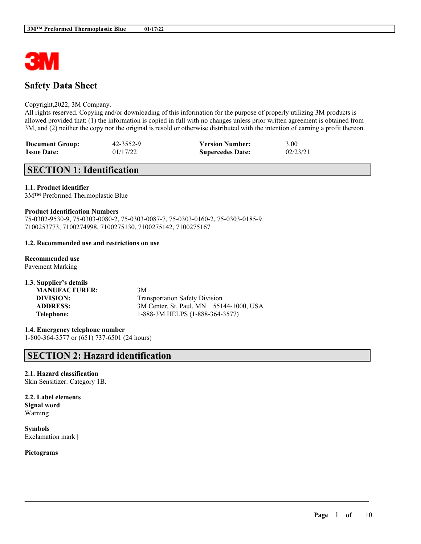

# **Safety Data Sheet**

#### Copyright,2022, 3M Company.

All rights reserved. Copying and/or downloading of this information for the purpose of properly utilizing 3M products is allowed provided that: (1) the information is copied in full with no changes unless prior written agreement is obtained from 3M, and (2) neither the copy nor the original is resold or otherwise distributed with the intention of earning a profit thereon.

 $\mathcal{L}_\mathcal{L} = \mathcal{L}_\mathcal{L} = \mathcal{L}_\mathcal{L} = \mathcal{L}_\mathcal{L} = \mathcal{L}_\mathcal{L} = \mathcal{L}_\mathcal{L} = \mathcal{L}_\mathcal{L} = \mathcal{L}_\mathcal{L} = \mathcal{L}_\mathcal{L} = \mathcal{L}_\mathcal{L} = \mathcal{L}_\mathcal{L} = \mathcal{L}_\mathcal{L} = \mathcal{L}_\mathcal{L} = \mathcal{L}_\mathcal{L} = \mathcal{L}_\mathcal{L} = \mathcal{L}_\mathcal{L} = \mathcal{L}_\mathcal{L}$ 

| <b>Document Group:</b> | 42-3552-9 | <b>Version Number:</b>  | 3.00     |
|------------------------|-----------|-------------------------|----------|
| <b>Issue Date:</b>     | 01/17/22  | <b>Supercedes Date:</b> | 02/23/21 |

# **SECTION 1: Identification**

#### **1.1. Product identifier**

3M™ Preformed Thermoplastic Blue

#### **Product Identification Numbers**

75-0302-9530-9, 75-0303-0080-2, 75-0303-0087-7, 75-0303-0160-2, 75-0303-0185-9 7100253773, 7100274998, 7100275130, 7100275142, 7100275167

#### **1.2. Recommended use and restrictions on use**

- **Recommended use** Pavement Marking
- **1.3. Supplier's details MANUFACTURER:** 3M **DIVISION:** Transportation Safety Division **ADDRESS:** 3M Center, St. Paul, MN 55144-1000, USA **Telephone:** 1-888-3M HELPS (1-888-364-3577)

**1.4. Emergency telephone number** 1-800-364-3577 or (651) 737-6501 (24 hours)

# **SECTION 2: Hazard identification**

**2.1. Hazard classification** Skin Sensitizer: Category 1B.

**2.2. Label elements Signal word** Warning

**Symbols** Exclamation mark |

**Pictograms**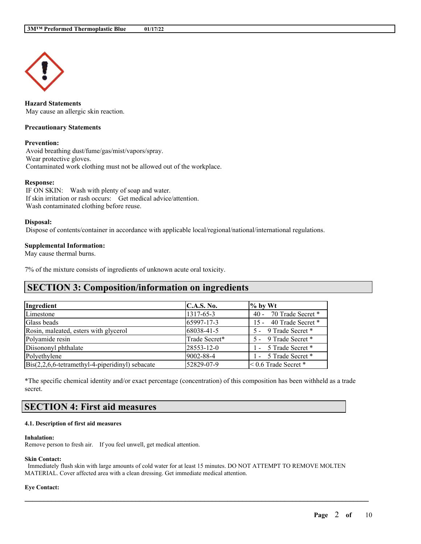

**Hazard Statements** May cause an allergic skin reaction.

#### **Precautionary Statements**

#### **Prevention:**

Avoid breathing dust/fume/gas/mist/vapors/spray. Wear protective gloves. Contaminated work clothing must not be allowed out of the workplace.

#### **Response:**

IF ON SKIN: Wash with plenty of soap and water. If skin irritation or rash occurs: Get medical advice/attention. Wash contaminated clothing before reuse.

#### **Disposal:**

Dispose of contents/container in accordance with applicable local/regional/national/international regulations.

#### **Supplemental Information:**

May cause thermal burns.

7% of the mixture consists of ingredients of unknown acute oral toxicity.

# **SECTION 3: Composition/information on ingredients**

| Ingredient                                                      | C.A.S. No.    | $\%$ by Wt                |
|-----------------------------------------------------------------|---------------|---------------------------|
| Limestone                                                       | 1317-65-3     | 40 - 70 Trade Secret *    |
| Glass beads                                                     | 65997-17-3    | 15 - 40 Trade Secret *    |
| Rosin, maleated, esters with glycerol                           | 68038-41-5    | 5 - 9 Trade Secret *      |
| Polyamide resin                                                 | Trade Secret* | 5 - 9 Trade Secret *      |
| Diisononyl phthalate                                            | 28553-12-0    | 1 - 5 Trade Secret *      |
| Polyethylene                                                    | 9002-88-4     | 1 - 5 Trade Secret *      |
| $\text{Bis}(2,2,6,6\text{-tetramethyl-4-piperidinyl})$ sebacate | 52829-07-9    | $\leq 0.6$ Trade Secret * |

\*The specific chemical identity and/or exact percentage (concentration) of this composition has been withheld as a trade secret.

# **SECTION 4: First aid measures**

#### **4.1. Description of first aid measures**

#### **Inhalation:**

Remove person to fresh air. If you feel unwell, get medical attention.

#### **Skin Contact:**

Immediately flush skin with large amounts of cold water for at least 15 minutes. DO NOT ATTEMPT TO REMOVE MOLTEN MATERIAL. Cover affected area with a clean dressing. Get immediate medical attention.

 $\mathcal{L}_\mathcal{L} = \mathcal{L}_\mathcal{L} = \mathcal{L}_\mathcal{L} = \mathcal{L}_\mathcal{L} = \mathcal{L}_\mathcal{L} = \mathcal{L}_\mathcal{L} = \mathcal{L}_\mathcal{L} = \mathcal{L}_\mathcal{L} = \mathcal{L}_\mathcal{L} = \mathcal{L}_\mathcal{L} = \mathcal{L}_\mathcal{L} = \mathcal{L}_\mathcal{L} = \mathcal{L}_\mathcal{L} = \mathcal{L}_\mathcal{L} = \mathcal{L}_\mathcal{L} = \mathcal{L}_\mathcal{L} = \mathcal{L}_\mathcal{L}$ 

#### **Eye Contact:**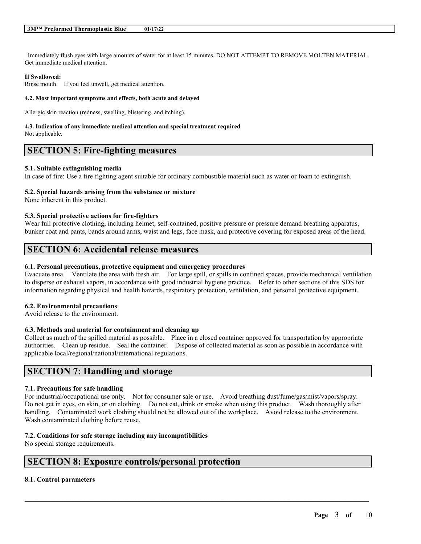Immediately flush eyes with large amounts of water for at least 15 minutes. DO NOT ATTEMPT TO REMOVE MOLTEN MATERIAL. Get immediate medical attention.

#### **If Swallowed:**

Rinse mouth. If you feel unwell, get medical attention.

#### **4.2. Most important symptoms and effects, both acute and delayed**

Allergic skin reaction (redness, swelling, blistering, and itching).

# **4.3. Indication of any immediate medical attention and special treatment required**

Not applicable.

# **SECTION 5: Fire-fighting measures**

#### **5.1. Suitable extinguishing media**

In case of fire: Use a fire fighting agent suitable for ordinary combustible material such as water or foam to extinguish.

#### **5.2. Special hazards arising from the substance or mixture**

None inherent in this product.

#### **5.3. Special protective actions for fire-fighters**

Wear full protective clothing, including helmet, self-contained, positive pressure or pressure demand breathing apparatus, bunker coat and pants, bands around arms, waist and legs, face mask, and protective covering for exposed areas of the head.

# **SECTION 6: Accidental release measures**

#### **6.1. Personal precautions, protective equipment and emergency procedures**

Evacuate area. Ventilate the area with fresh air. For large spill, or spills in confined spaces, provide mechanical ventilation to disperse or exhaust vapors, in accordance with good industrial hygiene practice. Refer to other sections of this SDS for information regarding physical and health hazards, respiratory protection, ventilation, and personal protective equipment.

#### **6.2. Environmental precautions**

Avoid release to the environment.

#### **6.3. Methods and material for containment and cleaning up**

Collect as much of the spilled material as possible. Place in a closed container approved for transportation by appropriate authorities. Clean up residue. Seal the container. Dispose of collected material as soon as possible in accordance with applicable local/regional/national/international regulations.

# **SECTION 7: Handling and storage**

#### **7.1. Precautions for safe handling**

For industrial/occupational use only. Not for consumer sale or use. Avoid breathing dust/fume/gas/mist/vapors/spray. Do not get in eyes, on skin, or on clothing. Do not eat, drink or smoke when using this product. Wash thoroughly after handling. Contaminated work clothing should not be allowed out of the workplace. Avoid release to the environment. Wash contaminated clothing before reuse.

 $\mathcal{L}_\mathcal{L} = \mathcal{L}_\mathcal{L} = \mathcal{L}_\mathcal{L} = \mathcal{L}_\mathcal{L} = \mathcal{L}_\mathcal{L} = \mathcal{L}_\mathcal{L} = \mathcal{L}_\mathcal{L} = \mathcal{L}_\mathcal{L} = \mathcal{L}_\mathcal{L} = \mathcal{L}_\mathcal{L} = \mathcal{L}_\mathcal{L} = \mathcal{L}_\mathcal{L} = \mathcal{L}_\mathcal{L} = \mathcal{L}_\mathcal{L} = \mathcal{L}_\mathcal{L} = \mathcal{L}_\mathcal{L} = \mathcal{L}_\mathcal{L}$ 

## **7.2. Conditions for safe storage including any incompatibilities**

No special storage requirements.

# **SECTION 8: Exposure controls/personal protection**

## **8.1. Control parameters**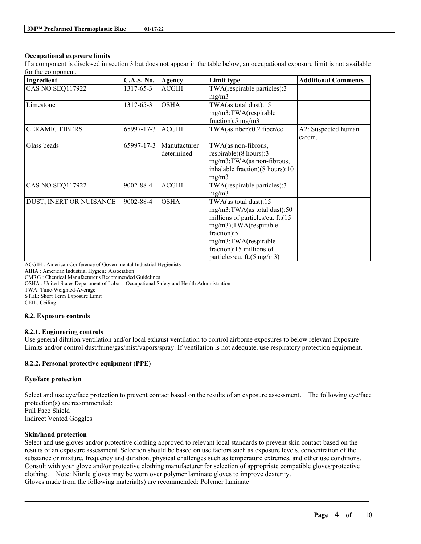## **Occupational exposure limits**

If a component is disclosed in section 3 but does not appear in the table below, an occupational exposure limit is not available for the component.

| Ingredient              | <b>C.A.S. No.</b> | <b>Agency</b>              | Limit type                                                                                                                                                                                                         | <b>Additional Comments</b>     |
|-------------------------|-------------------|----------------------------|--------------------------------------------------------------------------------------------------------------------------------------------------------------------------------------------------------------------|--------------------------------|
| CAS NO SEQ117922        | 1317-65-3         | <b>ACGIH</b>               | TWA(respirable particles):3<br>mg/m3                                                                                                                                                                               |                                |
| Limestone               | 1317-65-3         | <b>OSHA</b>                | TWA(as total dust):15<br>mg/m3;TWA(respirable<br>fraction): $5 \text{ mg/m}$ 3                                                                                                                                     |                                |
| <b>CERAMIC FIBERS</b>   | 65997-17-3        | <b>ACGIH</b>               | TWA(as fiber):0.2 fiber/cc                                                                                                                                                                                         | A2: Suspected human<br>carcin. |
| Glass beads             | 65997-17-3        | Manufacturer<br>determined | TWA(as non-fibrous,<br>respirable) $(8 \text{ hours})$ :3<br>$mg/m3$ ; TWA(as non-fibrous,<br>inhalable fraction)(8 hours):10<br>mg/m3                                                                             |                                |
| <b>CAS NO SEQ117922</b> | 9002-88-4         | <b>ACGIH</b>               | TWA(respirable particles):3<br>mg/m3                                                                                                                                                                               |                                |
| DUST, INERT OR NUISANCE | 9002-88-4         | <b>OSHA</b>                | TWA(as total dust):15<br>mg/m3;TWA(as total dust):50<br>millions of particles/cu. ft.(15<br>mg/m3);TWA(respirable<br>fraction):5<br>mg/m3;TWA(respirable<br>fraction):15 millions of<br>particles/cu. ft.(5 mg/m3) |                                |

ACGIH : American Conference of Governmental Industrial Hygienists

AIHA : American Industrial Hygiene Association

CMRG : Chemical Manufacturer's Recommended Guidelines

OSHA : United States Department of Labor - Occupational Safety and Health Administration

TWA: Time-Weighted-Average

STEL: Short Term Exposure Limit

CEIL: Ceiling

#### **8.2. Exposure controls**

#### **8.2.1. Engineering controls**

Use general dilution ventilation and/or local exhaust ventilation to control airborne exposures to below relevant Exposure Limits and/or control dust/fume/gas/mist/vapors/spray. If ventilation is not adequate, use respiratory protection equipment.

## **8.2.2. Personal protective equipment (PPE)**

#### **Eye/face protection**

Select and use eye/face protection to prevent contact based on the results of an exposure assessment. The following eye/face protection(s) are recommended: Full Face Shield Indirect Vented Goggles

#### **Skin/hand protection**

Select and use gloves and/or protective clothing approved to relevant local standards to prevent skin contact based on the results of an exposure assessment. Selection should be based on use factors such as exposure levels, concentration of the substance or mixture, frequency and duration, physical challenges such as temperature extremes, and other use conditions. Consult with your glove and/or protective clothing manufacturer for selection of appropriate compatible gloves/protective clothing. Note: Nitrile gloves may be worn over polymer laminate gloves to improve dexterity. Gloves made from the following material(s) are recommended: Polymer laminate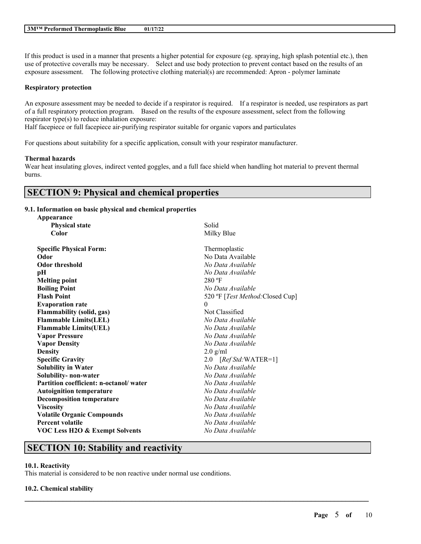If this product is used in a manner that presents a higher potential for exposure (eg. spraying, high splash potential etc.), then use of protective coveralls may be necessary. Select and use body protection to prevent contact based on the results of an exposure assessment. The following protective clothing material(s) are recommended: Apron - polymer laminate

## **Respiratory protection**

An exposure assessment may be needed to decide if a respirator is required. If a respirator is needed, use respirators as part of a full respiratory protection program. Based on the results of the exposure assessment, select from the following respirator type(s) to reduce inhalation exposure:

Half facepiece or full facepiece air-purifying respirator suitable for organic vapors and particulates

For questions about suitability for a specific application, consult with your respirator manufacturer.

#### **Thermal hazards**

Wear heat insulating gloves, indirect vented goggles, and a full face shield when handling hot material to prevent thermal burns.

# **SECTION 9: Physical and chemical properties**

#### **9.1. Information on basic physical and chemical properties**

| Appearance                                |                                  |
|-------------------------------------------|----------------------------------|
| <b>Physical state</b>                     | Solid                            |
| Color                                     | Milky Blue                       |
| <b>Specific Physical Form:</b>            | Thermoplastic                    |
| Odor                                      | No Data Available                |
| <b>Odor threshold</b>                     | No Data Available                |
| рH                                        | No Data Available                |
| <b>Melting point</b>                      | $280$ °F                         |
| <b>Boiling Point</b>                      | No Data Available                |
| <b>Flash Point</b>                        | 520 °F [Test Method: Closed Cup] |
| <b>Evaporation rate</b>                   | $\theta$                         |
| <b>Flammability (solid, gas)</b>          | Not Classified                   |
| <b>Flammable Limits(LEL)</b>              | No Data Available                |
| <b>Flammable Limits(UEL)</b>              | No Data Available                |
| <b>Vapor Pressure</b>                     | No Data Available                |
| <b>Vapor Density</b>                      | No Data Available                |
| <b>Density</b>                            | $2.0$ g/ml                       |
| <b>Specific Gravity</b>                   | 2.0 [Ref Std:WATER=1]            |
| <b>Solubility in Water</b>                | No Data Available                |
| Solubility- non-water                     | No Data Available                |
| Partition coefficient: n-octanol/water    | No Data Available                |
| <b>Autoignition temperature</b>           | No Data Available                |
| <b>Decomposition temperature</b>          | No Data Available                |
| <b>Viscosity</b>                          | No Data Available                |
| <b>Volatile Organic Compounds</b>         | No Data Available                |
| <b>Percent volatile</b>                   | No Data Available                |
| <b>VOC Less H2O &amp; Exempt Solvents</b> | No Data Available                |
|                                           |                                  |

 $\mathcal{L}_\mathcal{L} = \mathcal{L}_\mathcal{L} = \mathcal{L}_\mathcal{L} = \mathcal{L}_\mathcal{L} = \mathcal{L}_\mathcal{L} = \mathcal{L}_\mathcal{L} = \mathcal{L}_\mathcal{L} = \mathcal{L}_\mathcal{L} = \mathcal{L}_\mathcal{L} = \mathcal{L}_\mathcal{L} = \mathcal{L}_\mathcal{L} = \mathcal{L}_\mathcal{L} = \mathcal{L}_\mathcal{L} = \mathcal{L}_\mathcal{L} = \mathcal{L}_\mathcal{L} = \mathcal{L}_\mathcal{L} = \mathcal{L}_\mathcal{L}$ 

# **SECTION 10: Stability and reactivity**

## **10.1. Reactivity**

This material is considered to be non reactive under normal use conditions.

## **10.2. Chemical stability**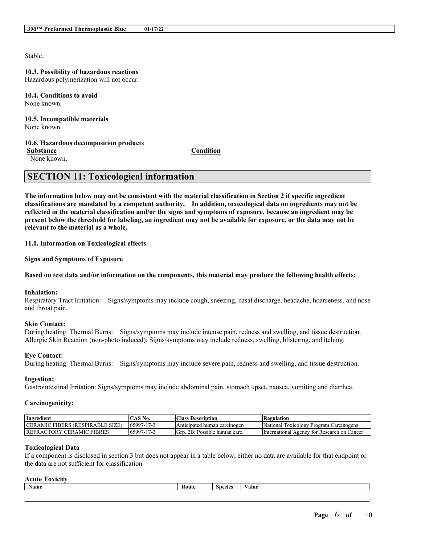Stable.

# **10.3. Possibility of hazardous reactions**

Hazardous polymerization will not occur.

**10.4. Conditions to avoid** None known.

#### **10.5. Incompatible materials** None known.

## **10.6. Hazardous decomposition products**

**Substance Condition**

None known.

# **SECTION 11: Toxicological information**

The information below may not be consistent with the material classification in Section 2 if specific ingredient **classifications are mandated by a competent authority. In addition, toxicological data on ingredients may not be** reflected in the material classification and/or the signs and symptoms of exposure, because an ingredient may be present below the threshold for labeling, an ingredient may not be available for exposure, or the data may not be **relevant to the material as a whole.**

**11.1. Information on Toxicological effects**

**Signs and Symptoms of Exposure**

## Based on test data and/or information on the components, this material may produce the following health effects:

## **Inhalation:**

Respiratory Tract Irritation: Signs/symptoms may include cough, sneezing, nasal discharge, headache, hoarseness, and nose and throat pain.

## **Skin Contact:**

During heating: Thermal Burns: Signs/symptoms may include intense pain, redness and swelling, and tissue destruction. Allergic Skin Reaction (non-photo induced): Signs/symptoms may include redness, swelling, blistering, and itching.

## **Eye Contact:**

During heating: Thermal Burns: Signs/symptoms may include severe pain, redness and swelling, and tissue destruction.

## **Ingestion:**

Gastrointestinal Irritation: Signs/symptoms may include abdominal pain, stomach upset, nausea, vomiting and diarrhea.

## **Carcinogenicity:**

| Ingredient                                   | $\mathcal{L}$ AS <sup>N</sup><br>No. | Class.<br>, Description          | Regulation                                       |
|----------------------------------------------|--------------------------------------|----------------------------------|--------------------------------------------------|
| ' FIBERS (RESPIRABLE SIZE)<br><b>CERAMIC</b> | 65997-17-3                           | Anticipated human carcinogen     | National<br>TOXICOLOGY<br>' Program Carcinogens  |
| FRACTORY CERAMIC FIBRES<br><b>IREF</b>       | 65997-17-3                           | 2B: Possible human carc.<br>Grp. | . International<br>Agency for Research on Cancer |

## **Toxicological Data**

If a component is disclosed in section 3 but does not appear in a table below, either no data are available for that endpoint or the data are not sufficient for classification.

## **Acute Toxicity**

| <b>Name</b> | Route | $\sim$<br>necies | $\mathbf{v}$<br>Value |
|-------------|-------|------------------|-----------------------|
|             |       |                  |                       |
|             |       |                  |                       |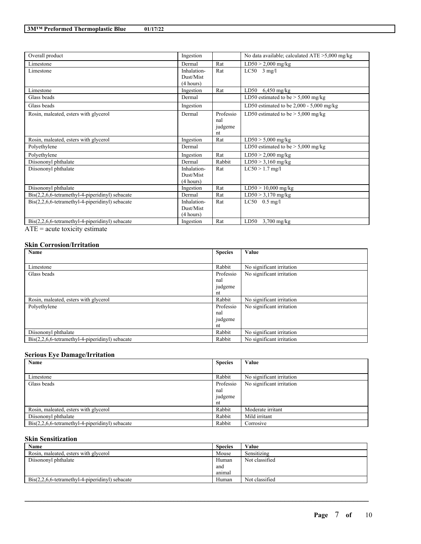| Overall product                                           | Ingestion   |           | No data available; calculated $ATE > 5,000$ mg/kg |
|-----------------------------------------------------------|-------------|-----------|---------------------------------------------------|
| Limestone                                                 | Dermal      | Rat       | $LD50 > 2,000$ mg/kg                              |
| Limestone                                                 | Inhalation- | Rat       | $LC50$ 3 mg/l                                     |
|                                                           | Dust/Mist   |           |                                                   |
|                                                           | (4 hours)   |           |                                                   |
| Limestone                                                 | Ingestion   | Rat       | $6,450$ mg/kg<br>LD50                             |
| Glass beads                                               | Dermal      |           | LD50 estimated to be $> 5,000$ mg/kg              |
| Glass beads                                               | Ingestion   |           | LD50 estimated to be $2,000 - 5,000$ mg/kg        |
| Rosin, maleated, esters with glycerol                     | Dermal      | Professio | LD50 estimated to be $> 5,000$ mg/kg              |
|                                                           |             | nal       |                                                   |
|                                                           |             | judgeme   |                                                   |
|                                                           |             | nt        |                                                   |
| Rosin, maleated, esters with glycerol                     | Ingestion   | Rat       | $LD50 > 5,000$ mg/kg                              |
| Polyethylene                                              | Dermal      |           | LD50 estimated to be $> 5,000$ mg/kg              |
| Polyethylene                                              | Ingestion   | Rat       | $LD50 > 2,000$ mg/kg                              |
| Diisononyl phthalate                                      | Dermal      | Rabbit    | $LD50 > 3,160$ mg/kg                              |
| Diisononyl phthalate                                      | Inhalation- | Rat       | $LC50 > 1.7$ mg/l                                 |
|                                                           | Dust/Mist   |           |                                                   |
|                                                           | (4 hours)   |           |                                                   |
| Diisononyl phthalate                                      | Ingestion   | Rat       | $LD50 > 10,000$ mg/kg                             |
| $Dis(2,2,6,6-tetramethyl-4-piperidinyl)$ sebacate         | Dermal      | Rat       | $LD50 > 3,170$ mg/kg                              |
| $Dis(2,2,6,6-tetramethyl-4-piperidinyl)$ sebacate         | Inhalation- | Rat       | $LC50$ 0.5 mg/l                                   |
|                                                           | Dust/Mist   |           |                                                   |
|                                                           | (4 hours)   |           |                                                   |
| $\text{Bis}(2,2,6,6$ -tetramethyl-4-piperidinyl) sebacate | Ingestion   | Rat       | LD50<br>$3,700$ mg/kg                             |

 $\overrightarrow{ATE}$  = acute toxicity estimate

#### **Skin Corrosion/Irritation**

| Name                                                            | <b>Species</b> | Value                     |
|-----------------------------------------------------------------|----------------|---------------------------|
|                                                                 |                |                           |
| Limestone                                                       | Rabbit         | No significant irritation |
| Glass beads                                                     | Professio      | No significant irritation |
|                                                                 | nal            |                           |
|                                                                 | judgeme        |                           |
|                                                                 | nt             |                           |
| Rosin, maleated, esters with glycerol                           | Rabbit         | No significant irritation |
| Polyethylene                                                    | Professio      | No significant irritation |
|                                                                 | nal            |                           |
|                                                                 | judgeme        |                           |
|                                                                 | nt             |                           |
| Diisononyl phthalate                                            | Rabbit         | No significant irritation |
| $\text{Bis}(2,2,6,6\text{-tetramethyl-4-piperidinyl})$ sebacate | Rabbit         | No significant irritation |

# **Serious Eye Damage/Irritation**

| Name                                                            | <b>Species</b> | Value                     |
|-----------------------------------------------------------------|----------------|---------------------------|
|                                                                 |                |                           |
| Limestone                                                       | Rabbit         | No significant irritation |
| Glass beads                                                     | Professio      | No significant irritation |
|                                                                 | nal            |                           |
|                                                                 | judgeme        |                           |
|                                                                 | nt             |                           |
| Rosin, maleated, esters with glycerol                           | Rabbit         | Moderate irritant         |
| Diisononyl phthalate                                            | Rabbit         | Mild irritant             |
| $\text{Bis}(2,2,6,6\text{-tetramethyl-4-piperidinyl})$ sebacate | Rabbit         | Corrosive                 |

# **Skin Sensitization**

| Name                                                            | <b>Species</b> | Value          |
|-----------------------------------------------------------------|----------------|----------------|
| Rosin, maleated, esters with glycerol                           | Mouse          | Sensitizing    |
| Diisononyl phthalate                                            | Human          | Not classified |
|                                                                 | and            |                |
|                                                                 | animal         |                |
| $\text{Bis}(2,2,6,6\text{-tetramethyl-4-piperidinyl})$ sebacate | Human          | Not classified |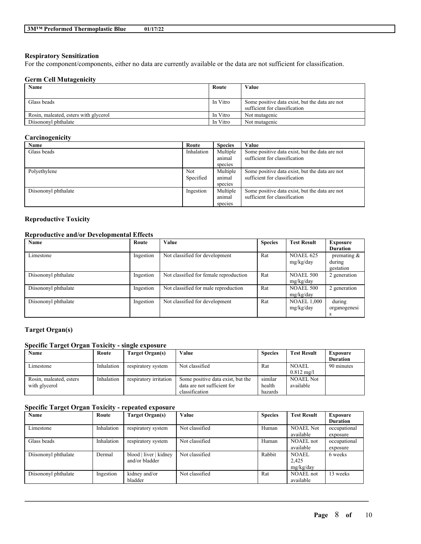#### **Respiratory Sensitization**

For the component/components, either no data are currently available or the data are not sufficient for classification.

#### **Germ Cell Mutagenicity**

| Name                                  | Route    | Value                                          |
|---------------------------------------|----------|------------------------------------------------|
|                                       |          |                                                |
| Glass beads                           | In Vitro | Some positive data exist, but the data are not |
|                                       |          | sufficient for classification                  |
| Rosin, maleated, esters with glycerol | In Vitro | Not mutagenic                                  |
| Diisononyl phthalate                  | In Vitro | Not mutagenic                                  |

## **Carcinogenicity**

| Name                 | Route      | <b>Species</b> | Value                                          |
|----------------------|------------|----------------|------------------------------------------------|
| Glass beads          | Inhalation | Multiple       | Some positive data exist, but the data are not |
|                      |            | animal         | sufficient for classification                  |
|                      |            | species        |                                                |
| Polyethylene         | Not        | Multiple       | Some positive data exist, but the data are not |
|                      | Specified  | animal         | sufficient for classification                  |
|                      |            | species        |                                                |
| Diisononyl phthalate | Ingestion  | Multiple       | Some positive data exist, but the data are not |
|                      |            | animal         | sufficient for classification                  |
|                      |            | species        |                                                |

# **Reproductive Toxicity**

# **Reproductive and/or Developmental Effects**

| Name                 | Route     | Value                                  | <b>Species</b> | <b>Test Result</b> | Exposure        |
|----------------------|-----------|----------------------------------------|----------------|--------------------|-----------------|
|                      |           |                                        |                |                    | <b>Duration</b> |
| Limestone            | Ingestion | Not classified for development         | Rat            | <b>NOAEL 625</b>   | premating $\&$  |
|                      |           |                                        |                | mg/kg/day          | during          |
|                      |           |                                        |                |                    | gestation       |
| Diisononyl phthalate | Ingestion | Not classified for female reproduction | Rat            | <b>NOAEL 500</b>   | 2 generation    |
|                      |           |                                        |                | mg/kg/day          |                 |
| Diisononyl phthalate | Ingestion | Not classified for male reproduction   | Rat            | <b>NOAEL 500</b>   | 2 generation    |
|                      |           |                                        |                | mg/kg/day          |                 |
| Diisononyl phthalate | Ingestion | Not classified for development         | Rat            | <b>NOAEL 1,000</b> | during          |
|                      |           |                                        |                | mg/kg/day          | organogenesi    |
|                      |           |                                        |                |                    | s               |

# **Target Organ(s)**

## **Specific Target Organ Toxicity - single exposure**

| Name                    | Route      | Target Organ(s)        | Value                             | <b>Species</b> | <b>Test Result</b>   | Exposure        |
|-------------------------|------------|------------------------|-----------------------------------|----------------|----------------------|-----------------|
|                         |            |                        |                                   |                |                      | <b>Duration</b> |
| Limestone               | Inhalation | respiratory system     | Not classified                    | Rat            | <b>NOAEL</b>         | 90 minutes      |
|                         |            |                        |                                   |                | $0.812 \text{ mg/l}$ |                 |
| Rosin, maleated, esters | Inhalation | respiratory irritation | Some positive data exist, but the | similar        | <b>NOAEL Not</b>     |                 |
| with glycerol           |            |                        | data are not sufficient for       | health         | available            |                 |
|                         |            |                        | classification                    | hazards        |                      |                 |

## **Specific Target Organ Toxicity - repeated exposure**

| Name                 | Route      | Target Organ(s)                          | Value          | <b>Species</b> | <b>Test Result</b>                 | <b>Exposure</b>          |
|----------------------|------------|------------------------------------------|----------------|----------------|------------------------------------|--------------------------|
|                      |            |                                          |                |                |                                    | <b>Duration</b>          |
| Limestone            | Inhalation | respiratory system                       | Not classified | Human          | <b>NOAEL Not</b><br>available      | occupational<br>exposure |
| Glass beads          | Inhalation | respiratory system                       | Not classified | Human          | NOAEL not<br>available             | occupational<br>exposure |
| Diisononyl phthalate | Dermal     | blood   liver   kidney<br>and/or bladder | Not classified | Rabbit         | <b>NOAEL</b><br>2,425<br>mg/kg/day | 6 weeks                  |
| Diisononyl phthalate | Ingestion  | kidney and/or<br>bladder                 | Not classified | Rat            | <b>NOAEL</b> not<br>available      | 13 weeks                 |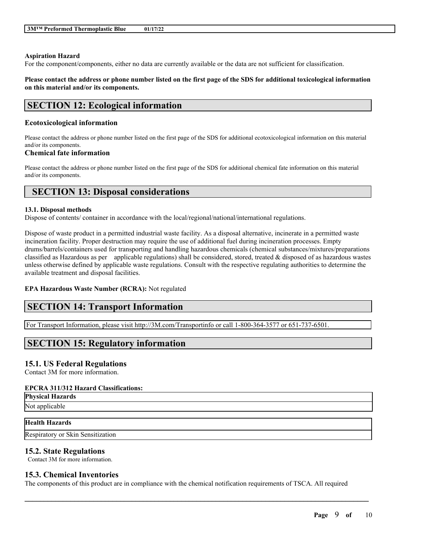#### **Aspiration Hazard**

For the component/components, either no data are currently available or the data are not sufficient for classification.

## Please contact the address or phone number listed on the first page of the SDS for additional toxicological information **on this material and/or its components.**

# **SECTION 12: Ecological information**

## **Ecotoxicological information**

Please contact the address or phone number listed on the first page of the SDS for additional ecotoxicological information on this material and/or its components.

## **Chemical fate information**

Please contact the address or phone number listed on the first page of the SDS for additional chemical fate information on this material and/or its components.

# **SECTION 13: Disposal considerations**

## **13.1. Disposal methods**

Dispose of contents/ container in accordance with the local/regional/national/international regulations.

Dispose of waste product in a permitted industrial waste facility. As a disposal alternative, incinerate in a permitted waste incineration facility. Proper destruction may require the use of additional fuel during incineration processes. Empty drums/barrels/containers used for transporting and handling hazardous chemicals (chemical substances/mixtures/preparations classified as Hazardous as per applicable regulations) shall be considered, stored, treated  $\&$  disposed of as hazardous wastes unless otherwise defined by applicable waste regulations. Consult with the respective regulating authorities to determine the available treatment and disposal facilities.

## **EPA Hazardous Waste Number (RCRA):** Not regulated

# **SECTION 14: Transport Information**

For Transport Information, please visit http://3M.com/Transportinfo or call 1-800-364-3577 or 651-737-6501.

# **SECTION 15: Regulatory information**

# **15.1. US Federal Regulations**

Contact 3M for more information.

## **EPCRA 311/312 Hazard Classifications:**

**Physical Hazards** Not applicable

## **Health Hazards**

Respiratory or Skin Sensitization

# **15.2. State Regulations**

Contact 3M for more information.

# **15.3. Chemical Inventories**

The components of this product are in compliance with the chemical notification requirements of TSCA. All required